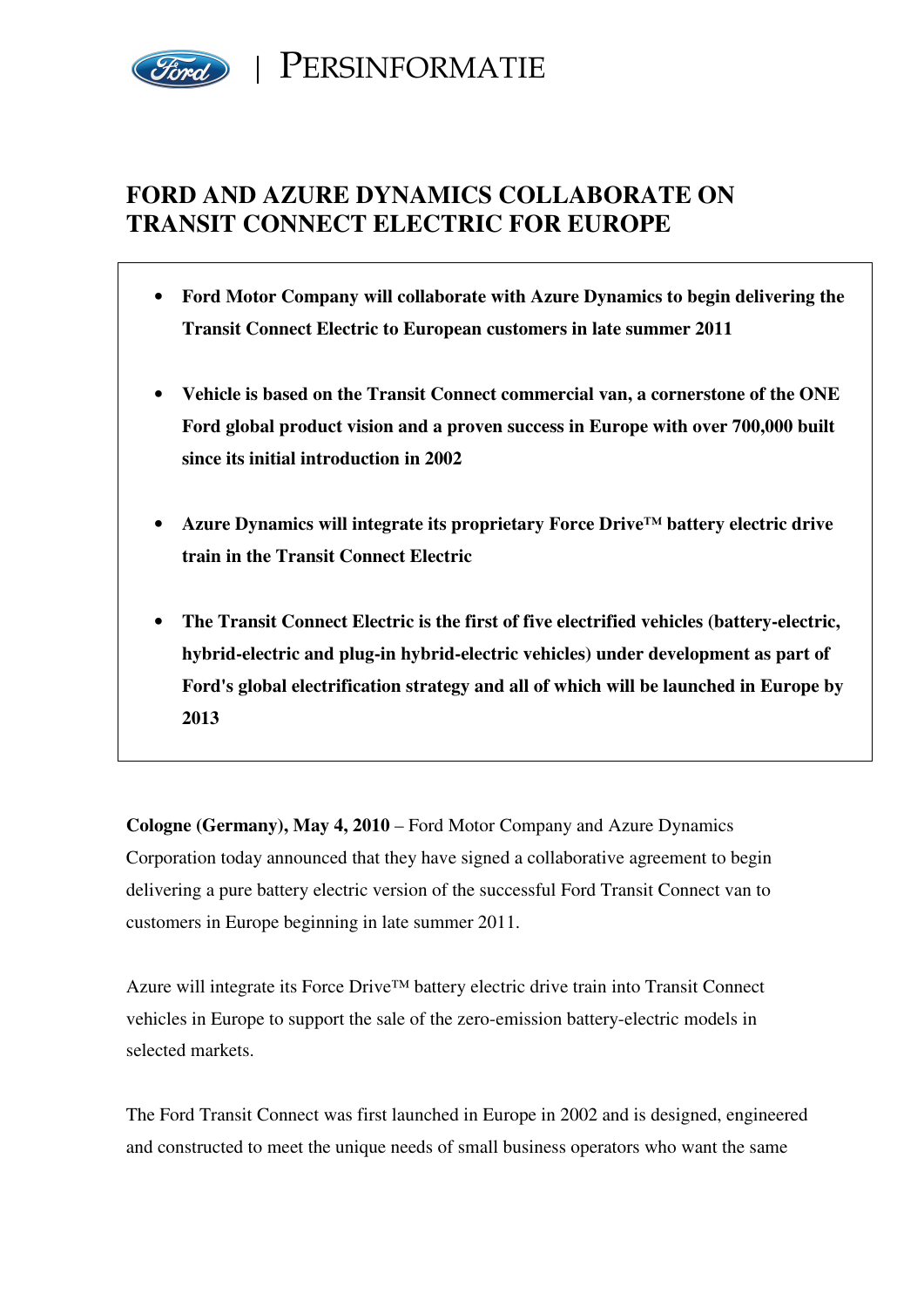

# **FORD AND AZURE DYNAMICS COLLABORATE ON TRANSIT CONNECT ELECTRIC FOR EUROPE**

- **Ford Motor Company will collaborate with Azure Dynamics to begin delivering the Transit Connect Electric to European customers in late summer 2011**
- **Vehicle is based on the Transit Connect commercial van, a cornerstone of the ONE Ford global product vision and a proven success in Europe with over 700,000 built since its initial introduction in 2002**
- **Azure Dynamics will integrate its proprietary Force Drive™ battery electric drive train in the Transit Connect Electric**
- **The Transit Connect Electric is the first of five electrified vehicles (battery-electric, hybrid-electric and plug-in hybrid-electric vehicles) under development as part of Ford's global electrification strategy and all of which will be launched in Europe by 2013**

**Cologne (Germany), May 4, 2010** – Ford Motor Company and Azure Dynamics Corporation today announced that they have signed a collaborative agreement to begin delivering a pure battery electric version of the successful Ford Transit Connect van to customers in Europe beginning in late summer 2011.

Azure will integrate its Force Drive™ battery electric drive train into Transit Connect vehicles in Europe to support the sale of the zero-emission battery-electric models in selected markets.

The Ford Transit Connect was first launched in Europe in 2002 and is designed, engineered and constructed to meet the unique needs of small business operators who want the same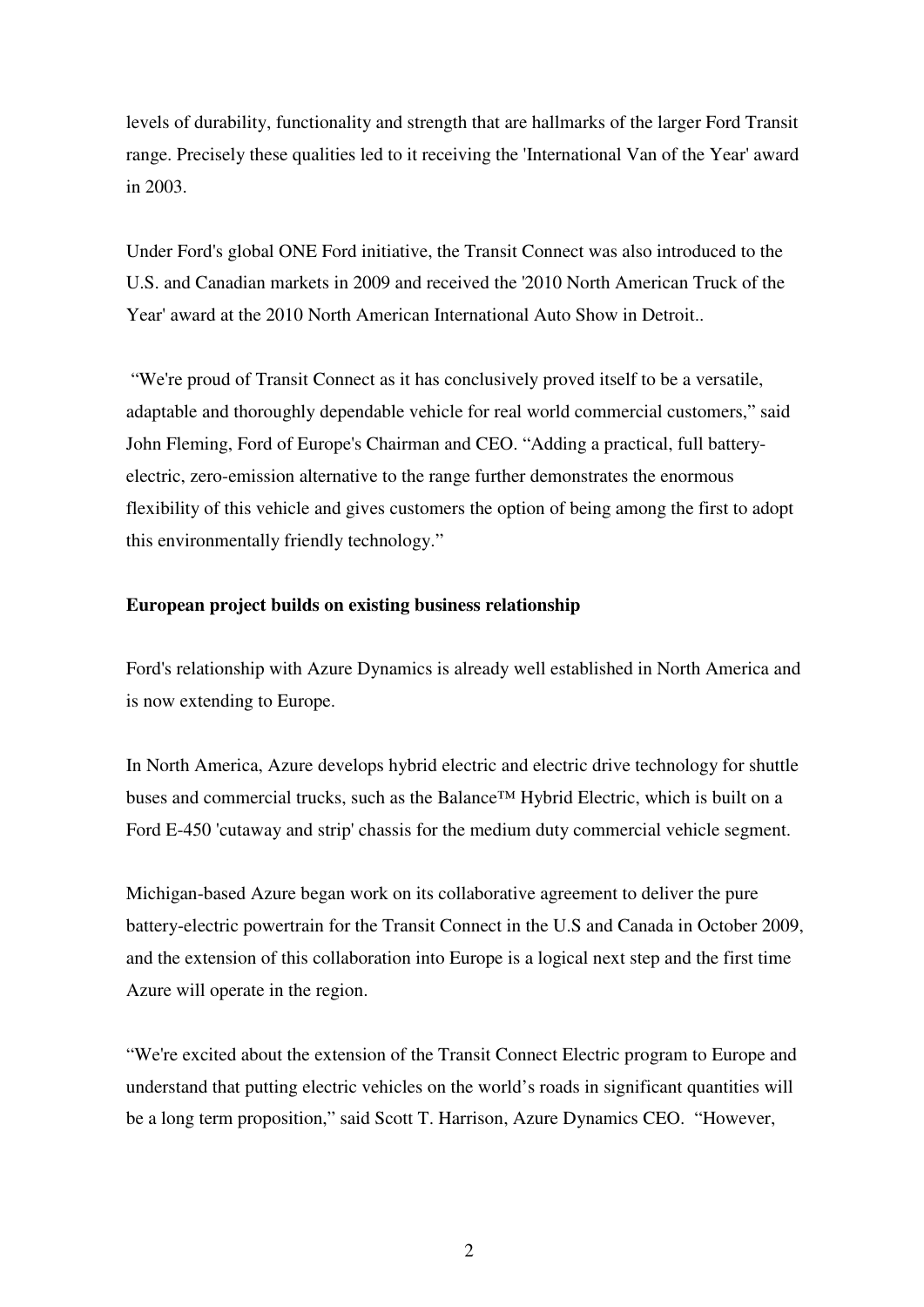levels of durability, functionality and strength that are hallmarks of the larger Ford Transit range. Precisely these qualities led to it receiving the 'International Van of the Year' award in 2003.

Under Ford's global ONE Ford initiative, the Transit Connect was also introduced to the U.S. and Canadian markets in 2009 and received the '2010 North American Truck of the Year' award at the 2010 North American International Auto Show in Detroit..

 "We're proud of Transit Connect as it has conclusively proved itself to be a versatile, adaptable and thoroughly dependable vehicle for real world commercial customers," said John Fleming, Ford of Europe's Chairman and CEO. "Adding a practical, full batteryelectric, zero-emission alternative to the range further demonstrates the enormous flexibility of this vehicle and gives customers the option of being among the first to adopt this environmentally friendly technology."

## **European project builds on existing business relationship**

Ford's relationship with Azure Dynamics is already well established in North America and is now extending to Europe.

In North America, Azure develops hybrid electric and electric drive technology for shuttle buses and commercial trucks, such as the Balance™ Hybrid Electric, which is built on a Ford E-450 'cutaway and strip' chassis for the medium duty commercial vehicle segment.

Michigan-based Azure began work on its collaborative agreement to deliver the pure battery-electric powertrain for the Transit Connect in the U.S and Canada in October 2009, and the extension of this collaboration into Europe is a logical next step and the first time Azure will operate in the region.

"We're excited about the extension of the Transit Connect Electric program to Europe and understand that putting electric vehicles on the world's roads in significant quantities will be a long term proposition," said Scott T. Harrison, Azure Dynamics CEO. "However,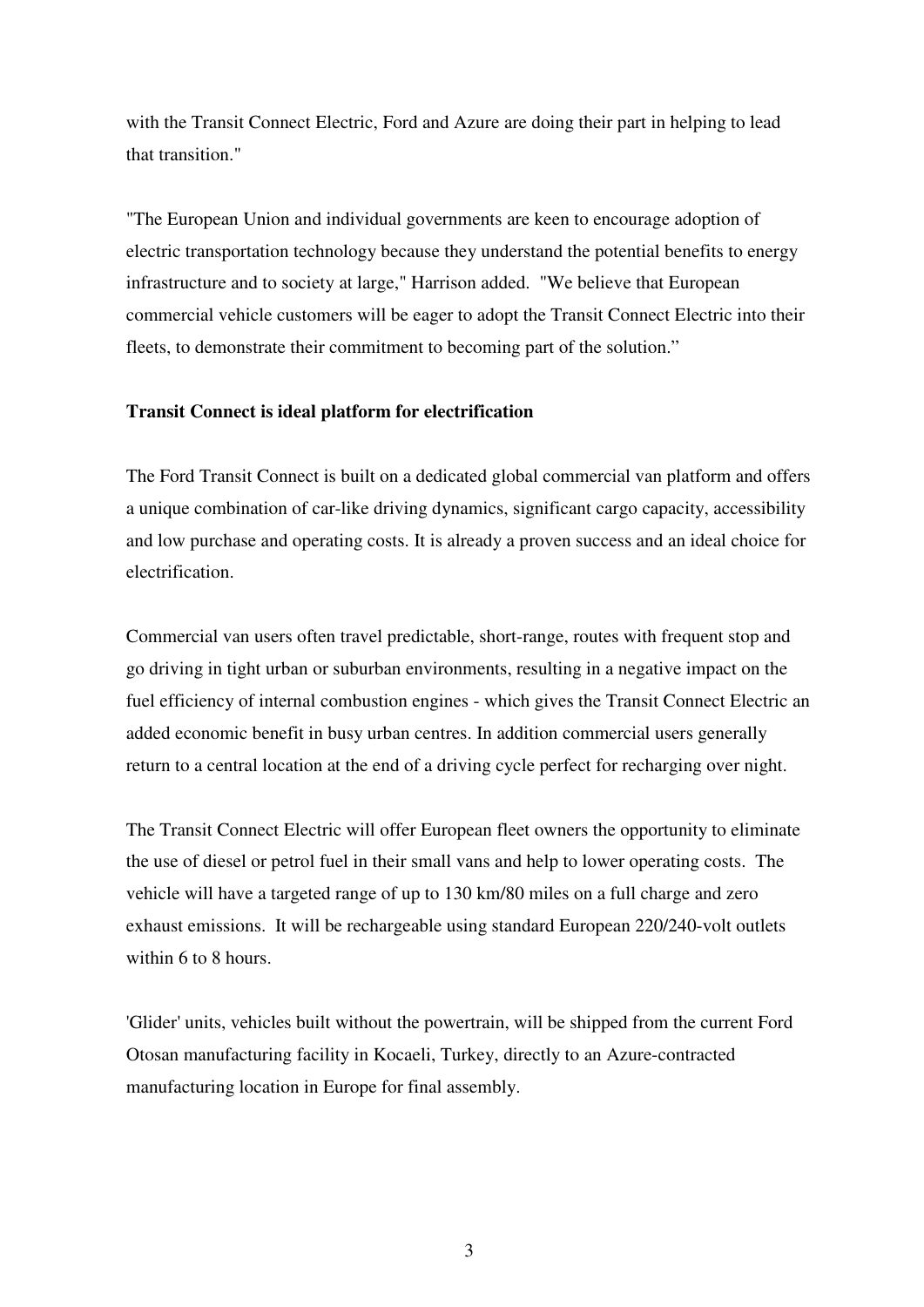with the Transit Connect Electric, Ford and Azure are doing their part in helping to lead that transition."

"The European Union and individual governments are keen to encourage adoption of electric transportation technology because they understand the potential benefits to energy infrastructure and to society at large," Harrison added. "We believe that European commercial vehicle customers will be eager to adopt the Transit Connect Electric into their fleets, to demonstrate their commitment to becoming part of the solution."

## **Transit Connect is ideal platform for electrification**

The Ford Transit Connect is built on a dedicated global commercial van platform and offers a unique combination of car-like driving dynamics, significant cargo capacity, accessibility and low purchase and operating costs. It is already a proven success and an ideal choice for electrification.

Commercial van users often travel predictable, short-range, routes with frequent stop and go driving in tight urban or suburban environments, resulting in a negative impact on the fuel efficiency of internal combustion engines - which gives the Transit Connect Electric an added economic benefit in busy urban centres. In addition commercial users generally return to a central location at the end of a driving cycle perfect for recharging over night.

The Transit Connect Electric will offer European fleet owners the opportunity to eliminate the use of diesel or petrol fuel in their small vans and help to lower operating costs. The vehicle will have a targeted range of up to 130 km/80 miles on a full charge and zero exhaust emissions. It will be rechargeable using standard European 220/240-volt outlets within 6 to 8 hours.

'Glider' units, vehicles built without the powertrain, will be shipped from the current Ford Otosan manufacturing facility in Kocaeli, Turkey, directly to an Azure-contracted manufacturing location in Europe for final assembly.

3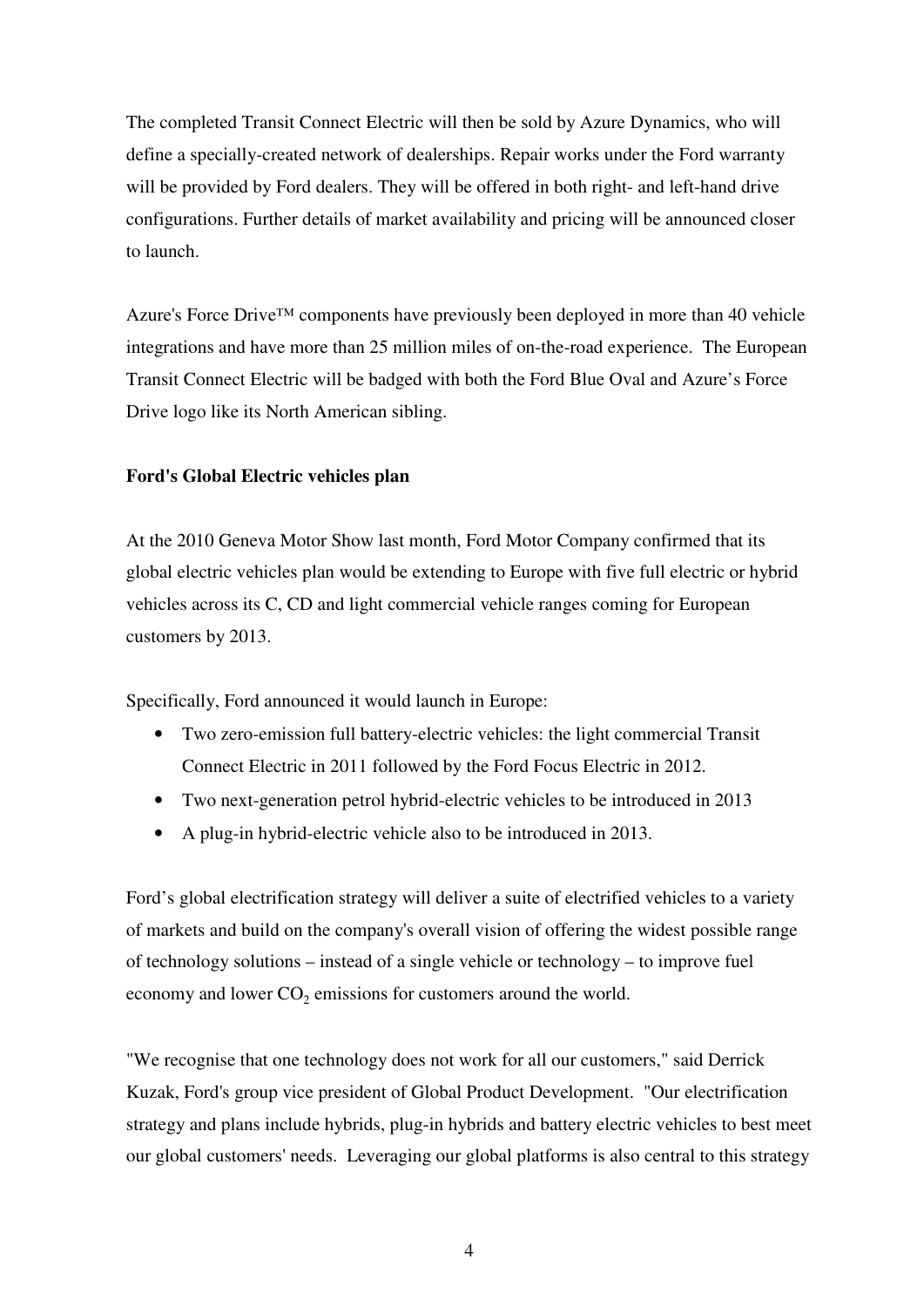The completed Transit Connect Electric will then be sold by Azure Dynamics, who will define a specially-created network of dealerships. Repair works under the Ford warranty will be provided by Ford dealers. They will be offered in both right- and left-hand drive configurations. Further details of market availability and pricing will be announced closer to launch.

Azure's Force Drive<sup>™</sup> components have previously been deployed in more than 40 vehicle integrations and have more than 25 million miles of on-the-road experience. The European Transit Connect Electric will be badged with both the Ford Blue Oval and Azure's Force Drive logo like its North American sibling.

## **Ford's Global Electric vehicles plan**

At the 2010 Geneva Motor Show last month, Ford Motor Company confirmed that its global electric vehicles plan would be extending to Europe with five full electric or hybrid vehicles across its C, CD and light commercial vehicle ranges coming for European customers by 2013.

Specifically, Ford announced it would launch in Europe:

- Two zero-emission full battery-electric vehicles: the light commercial Transit Connect Electric in 2011 followed by the Ford Focus Electric in 2012.
- Two next-generation petrol hybrid-electric vehicles to be introduced in 2013
- A plug-in hybrid-electric vehicle also to be introduced in 2013.

Ford's global electrification strategy will deliver a suite of electrified vehicles to a variety of markets and build on the company's overall vision of offering the widest possible range of technology solutions – instead of a single vehicle or technology – to improve fuel economy and lower  $CO_2$  emissions for customers around the world.

"We recognise that one technology does not work for all our customers," said Derrick Kuzak, Ford's group vice president of Global Product Development. "Our electrification strategy and plans include hybrids, plug-in hybrids and battery electric vehicles to best meet our global customers' needs. Leveraging our global platforms is also central to this strategy